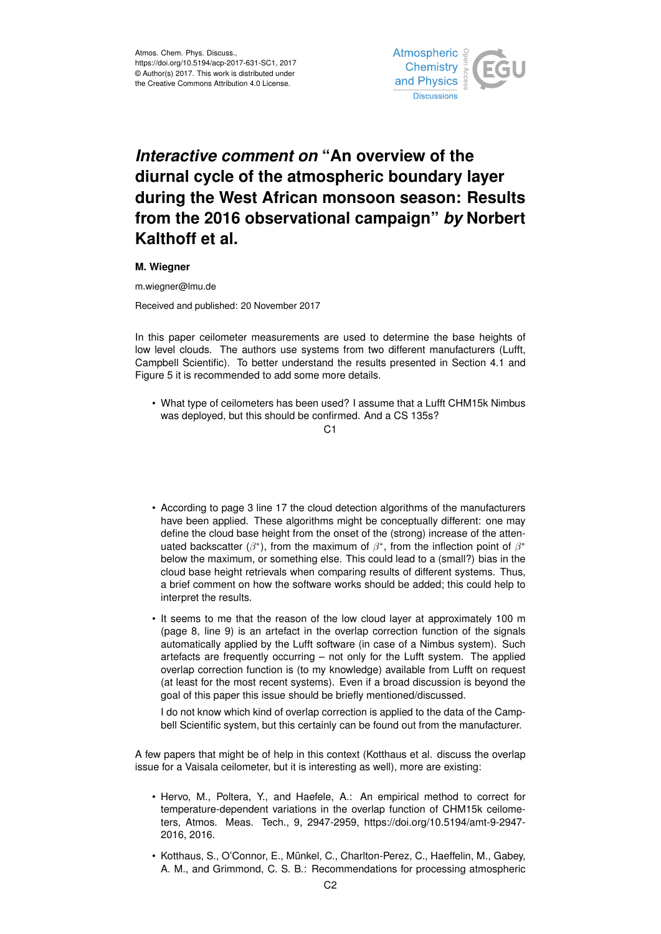

## *Interactive comment on* **"An overview of the diurnal cycle of the atmospheric boundary layer during the West African monsoon season: Results from the 2016 observational campaign"** *by* **Norbert Kalthoff et al.**

## **M. Wiegner**

m.wiegner@lmu.de

Received and published: 20 November 2017

In this paper ceilometer measurements are used to determine the base heights of low level clouds. The authors use systems from two different manufacturers (Lufft, Campbell Scientific). To better understand the results presented in Section 4.1 and Figure 5 it is recommended to add some more details.

• What type of ceilometers has been used? I assume that a Lufft CHM15k Nimbus was deployed, but this should be confirmed. And a CS 135s?

## $C<sub>1</sub>$

- According to page 3 line 17 the cloud detection algorithms of the manufacturers have been applied. These algorithms might be conceptually different: one may define the cloud base height from the onset of the (strong) increase of the attenuated backscatter ( $\beta^*$ ), from the maximum of  $\beta^*$ , from the inflection point of  $\beta^*$ below the maximum, or something else. This could lead to a (small?) bias in the cloud base height retrievals when comparing results of different systems. Thus, a brief comment on how the software works should be added; this could help to interpret the results.
- It seems to me that the reason of the low cloud layer at approximately 100 m (page 8, line 9) is an artefact in the overlap correction function of the signals automatically applied by the Lufft software (in case of a Nimbus system). Such artefacts are frequently occurring – not only for the Lufft system. The applied overlap correction function is (to my knowledge) available from Lufft on request (at least for the most recent systems). Even if a broad discussion is beyond the goal of this paper this issue should be briefly mentioned/discussed.

I do not know which kind of overlap correction is applied to the data of the Campbell Scientific system, but this certainly can be found out from the manufacturer.

A few papers that might be of help in this context (Kotthaus et al. discuss the overlap issue for a Vaisala ceilometer, but it is interesting as well), more are existing:

- Hervo, M., Poltera, Y., and Haefele, A.: An empirical method to correct for temperature-dependent variations in the overlap function of CHM15k ceilometers, Atmos. Meas. Tech., 9, 2947-2959, https://doi.org/10.5194/amt-9-2947- 2016, 2016.
- Kotthaus, S., O'Connor, E., Münkel, C., Charlton-Perez, C., Haeffelin, M., Gabey, A. M., and Grimmond, C. S. B.: Recommendations for processing atmospheric